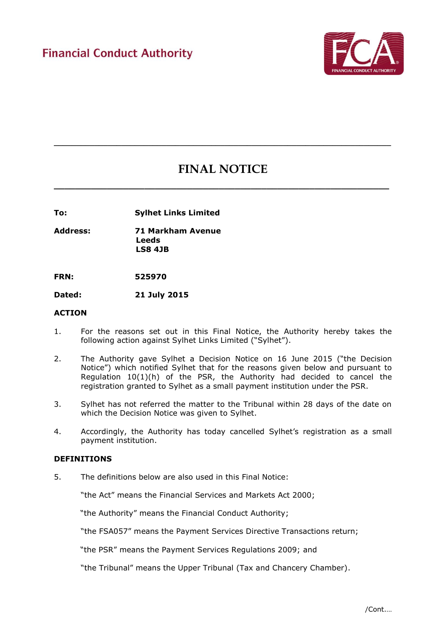

# **FINAL NOTICE**

**\_\_\_\_\_\_\_\_\_\_\_\_\_\_\_\_\_\_\_\_\_\_\_\_\_\_\_\_\_\_\_\_\_\_\_\_\_\_\_\_\_\_\_\_\_\_\_\_\_\_\_\_\_\_\_\_\_\_\_\_\_\_\_**

**\_\_\_\_\_\_\_\_\_\_\_\_\_\_\_\_\_\_\_\_\_\_\_\_\_\_\_\_\_\_\_\_\_\_\_\_\_\_\_\_\_\_\_\_\_\_\_\_\_\_\_\_\_\_\_\_\_\_\_\_\_\_\_\_\_\_\_\_\_\_\_\_\_\_\_**

**To: Sylhet Links Limited**

**Address: 71 Markham Avenue Leeds LS8 4JB** 

**FRN: 525970**

**Dated: 21 July 2015**

#### **ACTION**

- 1. For the reasons set out in this Final Notice, the Authority hereby takes the following action against Sylhet Links Limited ("Sylhet").
- 2. The Authority gave Sylhet a Decision Notice on 16 June 2015 ("the Decision Notice") which notified Sylhet that for the reasons given below and pursuant to Regulation 10(1)(h) of the PSR, the Authority had decided to cancel the registration granted to Sylhet as a small payment institution under the PSR.
- 3. Sylhet has not referred the matter to the Tribunal within 28 days of the date on which the Decision Notice was given to Sylhet.
- 4. Accordingly, the Authority has today cancelled Sylhet's registration as a small payment institution.

## **DEFINITIONS**

5. The definitions below are also used in this Final Notice:

"the Act" means the Financial Services and Markets Act 2000;

"the Authority" means the Financial Conduct Authority;

"the FSA057" means the Payment Services Directive Transactions return;

"the PSR" means the Payment Services Regulations 2009; and

"the Tribunal" means the Upper Tribunal (Tax and Chancery Chamber).